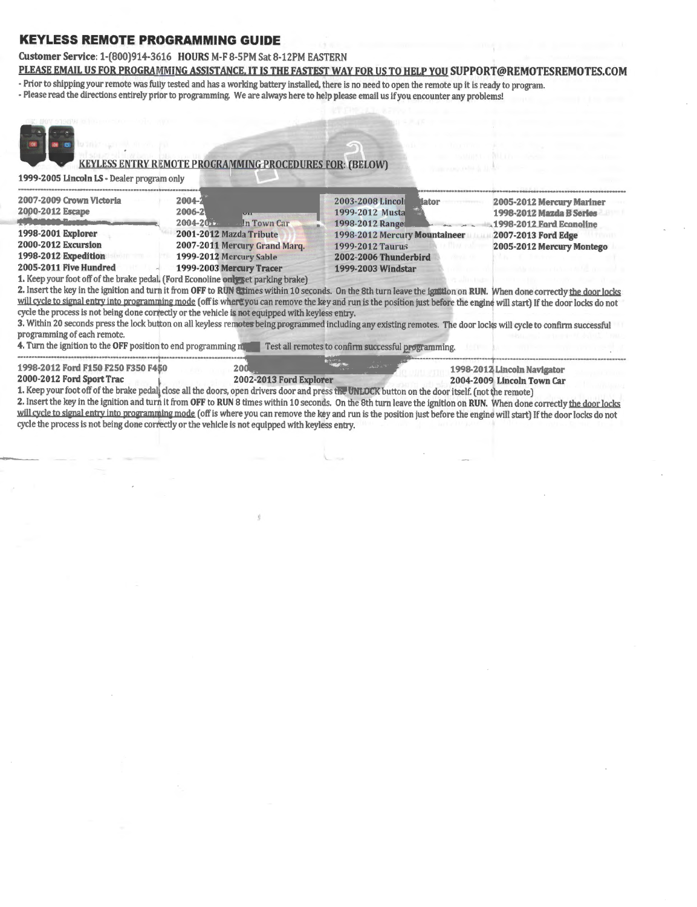# **KEYLESS REMOTE PROGRAMMING GUIDE**

### Customer Service: 1-(800)914-3616 HOURS M-F 8-SPM Sat 8-12PM EASTERN PLEASE EMAIL US FOR PROGRAMMING ASSISTANCE. IT IS THE FASTEST WAY FOR US TO HELP YOU SUPPORT@REMOTESREMOTES.COM

- Prior to shipping your remote was fully tested and has a working battery installed, there is no need to open the remote up it is ready to program.
- -Please read the directions entirely prior to programming. We are always here to help please email us if you encounter any problems!



## KEYLESS ENTRY REMOTE PROGRAMMING PROCEDURES FOR: (BELOW)

1999-2005 Lincoln LS- Dealer program only

| 2007-2009 Crown Victoria | 2004-2                        | 2003-2008 Lincoli<br><b>Hator</b> | 2005-2012 Mercury Mariner |
|--------------------------|-------------------------------|-----------------------------------|---------------------------|
| 2000-2012 Escape         | 2006-2<br>$\overline{V}$      | 1999-2012 Musta                   | 1998-2012 Mazda B Series  |
|                          | 2004-2011<br>In Town Car      | 1998-2012 Range                   | 1998-2012 Ford Econoline  |
| 1998-2001 Explorer       | 2001-2012 Mazda Tribute       | 1998-2012 Mercury Mountaineer     | 2007-2013 Ford Edge       |
| 2000-2012 Excursion      | 2007-2011 Mercury Grand Marq. | 1999-2012 Taurus                  | 2005-2012 Mercury Montego |
| 1998-2012 Expedition     | 1999-2012 Mercury Sable       | 2002-2006 Thunderbird             |                           |
| 2005-2011 Five Hundred   | 1999-2003 Mercury Tracer      | 1999-2003 Windstar                |                           |
|                          |                               |                                   |                           |

1. Keep your foot off of the brake pedal. (Ford Econoline only set parking brake)

2. Insert the key in the ignition and turn it from OFF to RUN attimes within 10 seconds. On the 8th turn leave the ignition on RUN. When done correctly the door locks will cycle to signal entry into programming mode (off is where you can remove the key and run is the position just before the engine will start) If the door locks do not cycle the process is not being done correctly or the vehicle is not equipped with keyless entry.

3. Within 20 seconds press the lock button on all keyless remotes being programmed including any existing remotes. The door locks will cycle to confirm successful programming of each remote.

4. Turn the ignition to the OFF position to end programming mode. Test all remotes to confirm successful programming. 

# 1998-2012 Ford F150 F250 F350 F450 2005-2007 Ford Freestyle 1998-2012 Lincoln Navigator

2004-2009 Lincoln Town Car

1. Keep your foot off of the brake pedal close all the doors, open drivers door and press the UNLOCK button on the door itself. (not the remote)

2. Insert the key in the ignition and turn it from OFF to RUN 8 times within 10 seconds. On the 8th turn leave the ignition on RUN. When done correctly the door locks will cycle to signal entry into programming mode (off is where you can remove the key and run is the position just before the engine will start) If the door locks do not cycle the process is not being done correctly or the vehicle is not equipped with keyless entry.